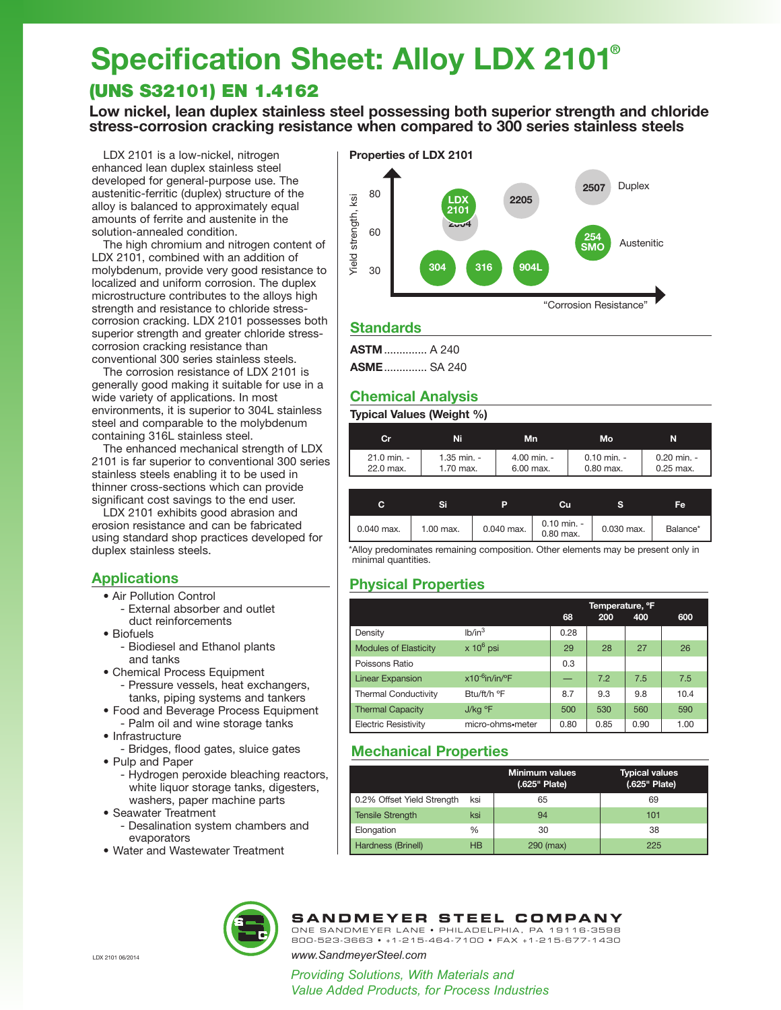# **Specification Sheet: Alloy LDX 2101®**

## (UNS S32101) EN 1.4162

**Low nickel, lean duplex stainless steel possessing both superior strength and chloride stress-corrosion cracking resistance when compared to 300 series stainless steels**

LDX 2101 is a low-nickel, nitrogen enhanced lean duplex stainless steel developed for general-purpose use. The austenitic-ferritic (duplex) structure of the alloy is balanced to approximately equal amounts of ferrite and austenite in the solution-annealed condition.

The high chromium and nitrogen content of LDX 2101, combined with an addition of molybdenum, provide very good resistance to localized and uniform corrosion. The duplex microstructure contributes to the alloys high strength and resistance to chloride stresscorrosion cracking. LDX 2101 possesses both superior strength and greater chloride stresscorrosion cracking resistance than conventional 300 series stainless steels.

The corrosion resistance of LDX 2101 is generally good making it suitable for use in a wide variety of applications. In most environments, it is superior to 304L stainless steel and comparable to the molybdenum containing 316L stainless steel.

The enhanced mechanical strength of LDX 2101 is far superior to conventional 300 series stainless steels enabling it to be used in thinner cross-sections which can provide significant cost savings to the end user.

LDX 2101 exhibits good abrasion and erosion resistance and can be fabricated using standard shop practices developed for duplex stainless steels.

## **Applications**

- Air Pollution Control
	- External absorber and outlet duct reinforcements
- Biofuels
	- Biodiesel and Ethanol plants and tanks
- Chemical Process Equipment - Pressure vessels, heat exchangers, tanks, piping systems and tankers
- Food and Beverage Process Equipment
- Palm oil and wine storage tanks • Infrastructure
- Bridges, flood gates, sluice gates
- Pulp and Paper
	- Hydrogen peroxide bleaching reactors, white liquor storage tanks, digesters, washers, paper machine parts
- Seawater Treatment
- Desalination system chambers and evaporators
- Water and Wastewater Treatment





## **Standards**

**ASTM**.............. A 240 **ASME**.............. SA 240

## **Chemical Analysis**

**Typical Values (Weight %)**

| Cr                       | Ni                       | <b>Mn</b>  |                            |  | Mo                           | N                          |
|--------------------------|--------------------------|------------|----------------------------|--|------------------------------|----------------------------|
| 21.0 min. -<br>22.0 max. | 1.35 min. -<br>1.70 max. |            | 4.00 min. -<br>6.00 max.   |  | $0.10$ min. -<br>$0.80$ max. | 0.20 min. -<br>$0.25$ max. |
| С                        | Si                       | P          | Cu                         |  | s                            | Fe                         |
| 0.040 max.               | 1.00 max.                | 0.040 max. | $0.10$ min. -<br>0.80 max. |  | 0.030 max.                   | Balance*                   |

\*Alloy predominates remaining composition. Other elements may be present only in minimal quantities.

## **Physical Properties**

|                              |                      | Temperature, °F |      |      |      |
|------------------------------|----------------------|-----------------|------|------|------|
|                              |                      | 68              | 200  | 400  | 600  |
| Density                      | lb/in <sup>3</sup>   | 0.28            |      |      |      |
| <b>Modules of Elasticity</b> | $\times$ 10 $^6$ psi | 29              | 28   | 27   | 26   |
| Poissons Ratio               |                      | 0.3             |      |      |      |
| <b>Linear Expansion</b>      | $x10^{-6}$ in/in/°F  |                 | 7.2  | 7.5  | 7.5  |
| <b>Thermal Conductivity</b>  | Btu/ft/h °F          | 8.7             | 9.3  | 9.8  | 10.4 |
| <b>Thermal Capacity</b>      | J/kg °F              | 500             | 530  | 560  | 590  |
| <b>Electric Resistivity</b>  | micro-ohms•meter     | 0.80            | 0.85 | 0.90 | 1.00 |

## **Mechanical Properties**

|                            |           | <b>Minimum values</b><br>(.625" Plate) | <b>Typical values</b><br>(.625" Plate) |
|----------------------------|-----------|----------------------------------------|----------------------------------------|
| 0.2% Offset Yield Strength | ksi       | 65                                     | 69                                     |
| <b>Tensile Strength</b>    | ksi       | 94                                     | 101                                    |
| Elongation                 | %         | 30                                     | 38                                     |
| Hardness (Brinell)         | <b>HB</b> | 290 (max)                              | 225                                    |



**SANDMEYER STEEL COMPANY**

*www.SandmeyerSteel.com*

*Providing Solutions, With Materials and Value Added Products, for Process Industries*